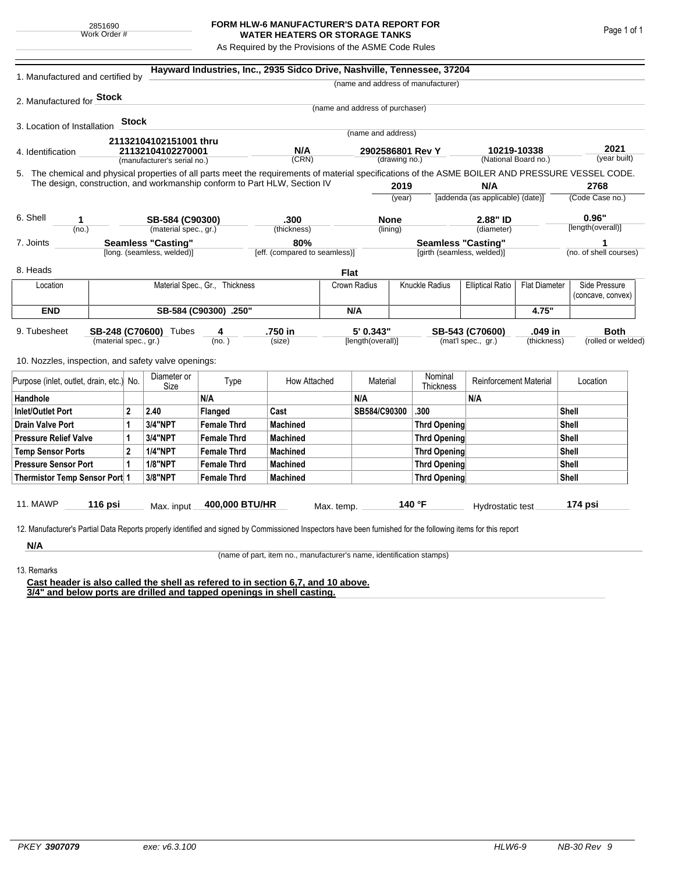## **FORM HLW-6 MANUFACTURER'S DATA REPORT FOR WATER HEATERS OR STORAGE TANKS**

As Required by the Provisions of the ASME Code Rules

| 1. Manufactured and certified by                                                                                                                                          |                                          |       |                                                  |                               | Hayward Industries, Inc., 2935 Sidco Drive, Nashville, Tennessee, 37204 |             |                                   |                           |                                       |                                                 |                        |                      |                                    |
|---------------------------------------------------------------------------------------------------------------------------------------------------------------------------|------------------------------------------|-------|--------------------------------------------------|-------------------------------|-------------------------------------------------------------------------|-------------|-----------------------------------|---------------------------|---------------------------------------|-------------------------------------------------|------------------------|----------------------|------------------------------------|
|                                                                                                                                                                           |                                          |       |                                                  |                               |                                                                         |             |                                   |                           | (name and address of manufacturer)    |                                                 |                        |                      |                                    |
| 2. Manufactured for <b>Stock</b>                                                                                                                                          |                                          |       |                                                  |                               |                                                                         |             |                                   |                           |                                       |                                                 |                        |                      |                                    |
|                                                                                                                                                                           |                                          |       |                                                  |                               |                                                                         |             | (name and address of purchaser)   |                           |                                       |                                                 |                        |                      |                                    |
| 3. Location of Installation                                                                                                                                               |                                          | Stock |                                                  |                               |                                                                         |             |                                   |                           |                                       |                                                 |                        |                      |                                    |
| (name and address)<br>21132104102151001 thru                                                                                                                              |                                          |       |                                                  |                               |                                                                         |             |                                   |                           |                                       |                                                 |                        |                      |                                    |
| 4. Identification                                                                                                                                                         |                                          |       | 21132104102270001<br>(manufacturer's serial no.) |                               | N/A<br>(CRN)                                                            |             | 2902586801 Rev Y<br>(drawing no.) |                           |                                       | 10219-10338<br>(National Board no.)             |                        | 2021<br>(year built) |                                    |
| 5. The chemical and physical properties of all parts meet the requirements of material specifications of the ASME BOILER AND PRESSURE VESSEL CODE.                        |                                          |       |                                                  |                               |                                                                         |             |                                   |                           |                                       |                                                 |                        |                      |                                    |
| The design, construction, and workmanship conform to Part HLW, Section IV                                                                                                 |                                          |       |                                                  |                               |                                                                         |             |                                   | 2019                      |                                       | N/A                                             |                        |                      | 2768                               |
|                                                                                                                                                                           |                                          |       |                                                  |                               |                                                                         |             | (year)                            |                           |                                       | [addenda (as applicable) (date)]                |                        | (Code Case no.)      |                                    |
|                                                                                                                                                                           |                                          |       |                                                  |                               |                                                                         |             |                                   |                           |                                       |                                                 |                        | 0.96"                |                                    |
| 6. Shell<br>1<br>(no.)                                                                                                                                                    |                                          |       | SB-584 (C90300)<br>(material spec., gr.)         |                               | .300<br>(thickness)                                                     |             | <b>None</b><br>(lining)           |                           | 2.88" ID<br>(diameter)                |                                                 |                        | [length(overall)]    |                                    |
| <b>Seamless "Casting"</b><br>7. Joints                                                                                                                                    |                                          |       |                                                  | 80%                           |                                                                         |             |                                   | <b>Seamless "Casting"</b> |                                       | 1                                               |                        |                      |                                    |
| [long. (seamless, welded)]                                                                                                                                                |                                          |       |                                                  | [eff. (compared to seamless)] |                                                                         |             |                                   |                           |                                       | [girth (seamless, welded)]                      |                        |                      | (no. of shell courses)             |
| 8. Heads                                                                                                                                                                  |                                          |       |                                                  |                               |                                                                         | <b>Flat</b> |                                   |                           |                                       |                                                 |                        |                      |                                    |
| Location                                                                                                                                                                  | Material Spec., Gr., Thickness           |       |                                                  |                               |                                                                         |             | Knuckle Radius<br>Crown Radius    |                           |                                       | <b>Elliptical Ratio</b><br><b>Flat Diameter</b> |                        |                      | Side Pressure<br>(concave, convex) |
| <b>END</b>                                                                                                                                                                | SB-584 (C90300) .250"                    |       |                                                  |                               |                                                                         |             | N/A                               |                           |                                       |                                                 | 4.75"                  |                      |                                    |
| 9. Tubesheet<br>SB-248 (C70600) Tubes<br>(material spec., gr.)                                                                                                            |                                          |       |                                                  | 4<br>(no.)                    | .750 in<br>(size)                                                       |             | 5' 0.343"<br>[length(overall)]    |                           | SB-543 (C70600)<br>(mat'l spec., gr.) |                                                 | .049 in<br>(thickness) |                      | <b>Both</b><br>(rolled or welded)  |
| 10. Nozzles, inspection, and safety valve openings:                                                                                                                       |                                          |       |                                                  |                               |                                                                         |             |                                   |                           |                                       |                                                 |                        |                      |                                    |
|                                                                                                                                                                           | Purpose (inlet, outlet, drain, etc.) No. |       |                                                  | Type                          | How Attached                                                            |             | Material                          |                           | Nominal<br>Thickness                  | <b>Reinforcement Material</b>                   |                        |                      | Location                           |
| Handhole                                                                                                                                                                  |                                          |       |                                                  | N/A                           |                                                                         |             | N/A                               |                           |                                       | N/A                                             |                        |                      |                                    |
| 2<br>Inlet/Outlet Port                                                                                                                                                    |                                          |       | 2.40                                             | Flanged                       | Cast                                                                    |             | SB584/C90300                      |                           | .300                                  |                                                 |                        | <b>Shell</b>         |                                    |
| 1<br>Drain Valve Port                                                                                                                                                     |                                          |       | 3/4"NPT                                          | <b>Female Thrd</b>            | <b>Machined</b>                                                         |             |                                   |                           | Thrd Opening                          |                                                 |                        | Shell                |                                    |
| <b>Pressure Relief Valve</b><br>1                                                                                                                                         |                                          |       | 3/4"NPT                                          | <b>Female Thrd</b>            | <b>Machined</b>                                                         |             |                                   |                           | Thrd Opening                          |                                                 |                        | Shell                |                                    |
| $\overline{2}$<br><b>Temp Sensor Ports</b>                                                                                                                                |                                          |       | <b>1/4"NPT</b>                                   | <b>Female Thrd</b>            | <b>Machined</b>                                                         |             |                                   |                           | Thrd Opening                          |                                                 |                        | Shell                |                                    |
| <b>Pressure Sensor Port</b><br>1                                                                                                                                          |                                          |       | <b>1/8"NPT</b>                                   | <b>Female Thrd</b>            | <b>Machined</b>                                                         |             |                                   |                           | Thrd Opening                          |                                                 |                        | Shell                |                                    |
| Thermistor Temp Sensor Port 1                                                                                                                                             |                                          |       | 3/8"NPT                                          | <b>Female Thrd</b>            | <b>Machined</b>                                                         |             |                                   | Thrd Opening              |                                       |                                                 |                        | Shell                |                                    |
| 11. MAWP<br>12. Manufacturer's Partial Data Reports properly identified and signed by Commissioned Inspectors have been furnished for the following items for this report | 116 psi                                  |       | Max. input                                       | 400,000 BTU/HR                |                                                                         | Max. temp.  |                                   |                           | 140 °F                                | Hydrostatic test                                |                        |                      | 174 psi                            |
| N/A                                                                                                                                                                       |                                          |       |                                                  |                               |                                                                         |             |                                   |                           |                                       |                                                 |                        |                      |                                    |

(name of part, item no., manufacturer's name, identification stamps)

13. Remarks

**Cast header is also called the shell as refered to in section 6,7, and 10 above. 3/4" and below ports are drilled and tapped openings in shell casting.**